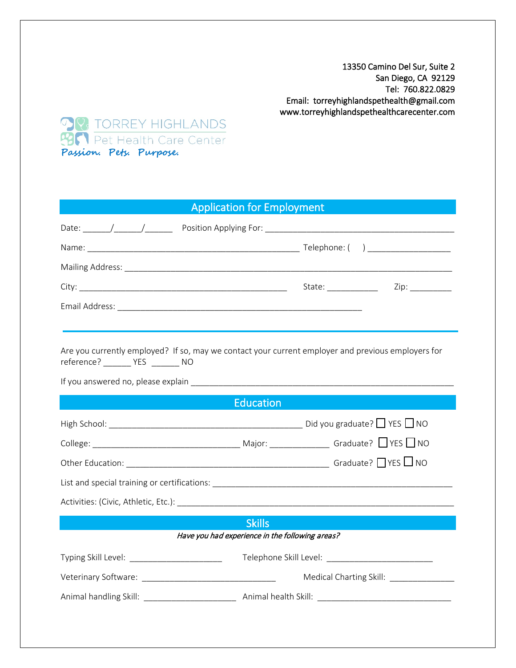13350 Camino Del Sur, Suite 2 San Diego, CA 92129 Tel: 760.822.0829 Email: torreyhighlandspethealth@gmail.com www.torreyhighlandspethealthcarecenter.com



## Application for Employment

| Are you currently employed? If so, may we contact your current employer and previous employers for<br>reference? _________ YES ________ NO |                                                   |  |  |  |  |
|--------------------------------------------------------------------------------------------------------------------------------------------|---------------------------------------------------|--|--|--|--|
|                                                                                                                                            |                                                   |  |  |  |  |
| <b>Education</b>                                                                                                                           |                                                   |  |  |  |  |
|                                                                                                                                            |                                                   |  |  |  |  |
|                                                                                                                                            |                                                   |  |  |  |  |
|                                                                                                                                            |                                                   |  |  |  |  |
|                                                                                                                                            |                                                   |  |  |  |  |
|                                                                                                                                            |                                                   |  |  |  |  |
| <b>Skills</b>                                                                                                                              |                                                   |  |  |  |  |
| Have you had experience in the following areas?                                                                                            |                                                   |  |  |  |  |
| Typing Skill Level: ________________________                                                                                               | Telephone Skill Level: __________________________ |  |  |  |  |
|                                                                                                                                            |                                                   |  |  |  |  |
|                                                                                                                                            |                                                   |  |  |  |  |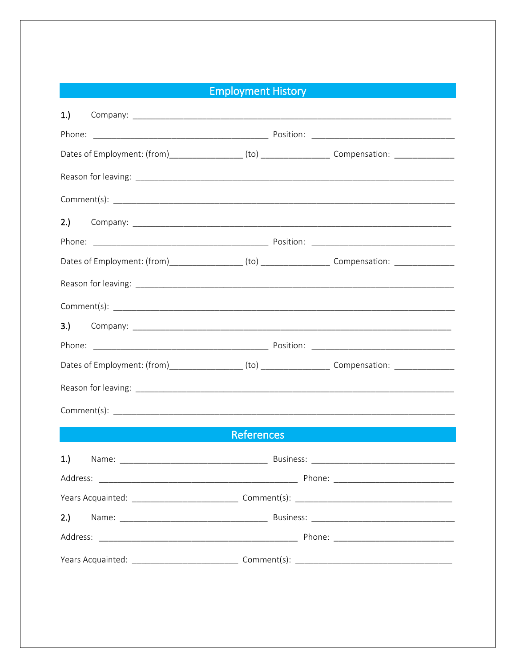## **Employment History**

| 1.  |  |                   |                                                                                                      |  |
|-----|--|-------------------|------------------------------------------------------------------------------------------------------|--|
|     |  |                   |                                                                                                      |  |
|     |  |                   | Dates of Employment: (from)_________________(to) _____________________Compensation: _______________  |  |
|     |  |                   |                                                                                                      |  |
|     |  |                   |                                                                                                      |  |
| 2.) |  |                   |                                                                                                      |  |
|     |  |                   |                                                                                                      |  |
|     |  |                   | Dates of Employment: (from)__________________(to) ______________________Compensation: ______________ |  |
|     |  |                   |                                                                                                      |  |
|     |  |                   |                                                                                                      |  |
|     |  |                   |                                                                                                      |  |
|     |  |                   |                                                                                                      |  |
|     |  |                   | Dates of Employment: (from)__________________(to) ______________________Compensation: ______________ |  |
|     |  |                   |                                                                                                      |  |
|     |  |                   |                                                                                                      |  |
|     |  | <b>References</b> |                                                                                                      |  |
| 1.  |  |                   |                                                                                                      |  |
|     |  |                   |                                                                                                      |  |
|     |  |                   |                                                                                                      |  |
| 2.) |  |                   |                                                                                                      |  |
|     |  |                   |                                                                                                      |  |
|     |  |                   |                                                                                                      |  |
|     |  |                   |                                                                                                      |  |
|     |  |                   |                                                                                                      |  |
|     |  |                   |                                                                                                      |  |